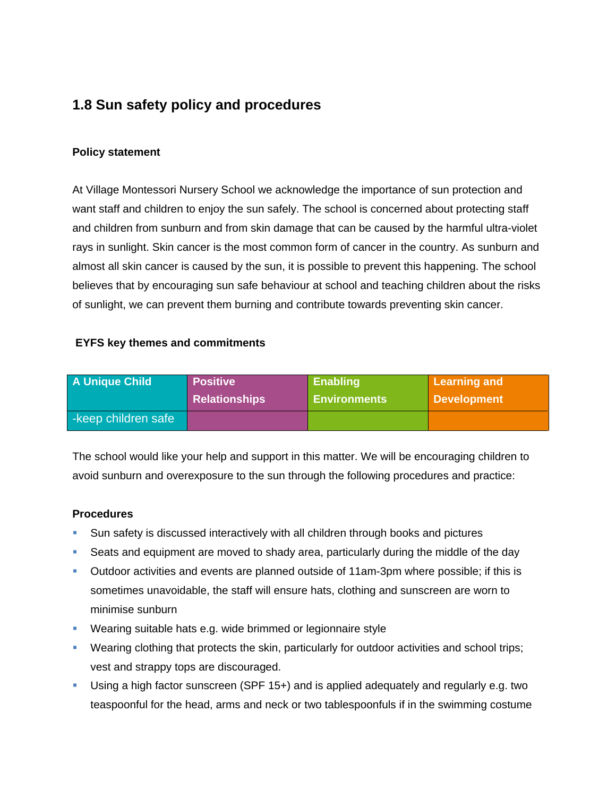# **1.8 Sun safety policy and procedures**

### **Policy statement**

At Village Montessori Nursery School we acknowledge the importance of sun protection and want staff and children to enjoy the sun safely. The school is concerned about protecting staff and children from sunburn and from skin damage that can be caused by the harmful ultra-violet rays in sunlight. Skin cancer is the most common form of cancer in the country. As sunburn and almost all skin cancer is caused by the sun, it is possible to prevent this happening. The school believes that by encouraging sun safe behaviour at school and teaching children about the risks of sunlight, we can prevent them burning and contribute towards preventing skin cancer.

### **EYFS key themes and commitments**

| <b>A Unique Child</b> | <b>Positive</b>      | <b>Enabling</b>     | Learning and |
|-----------------------|----------------------|---------------------|--------------|
|                       | <b>Relationships</b> | <b>Environments</b> | Development  |
| -keep children safe   |                      |                     |              |

The school would like your help and support in this matter. We will be encouraging children to avoid sunburn and overexposure to the sun through the following procedures and practice:

### **Procedures**

- Sun safety is discussed interactively with all children through books and pictures
- Seats and equipment are moved to shady area, particularly during the middle of the day
- Outdoor activities and events are planned outside of 11am-3pm where possible; if this is sometimes unavoidable, the staff will ensure hats, clothing and sunscreen are worn to minimise sunburn
- **Wearing suitable hats e.g. wide brimmed or legionnaire style**
- Wearing clothing that protects the skin, particularly for outdoor activities and school trips; vest and strappy tops are discouraged.
- Using a high factor sunscreen (SPF 15+) and is applied adequately and regularly e.g. two teaspoonful for the head, arms and neck or two tablespoonfuls if in the swimming costume